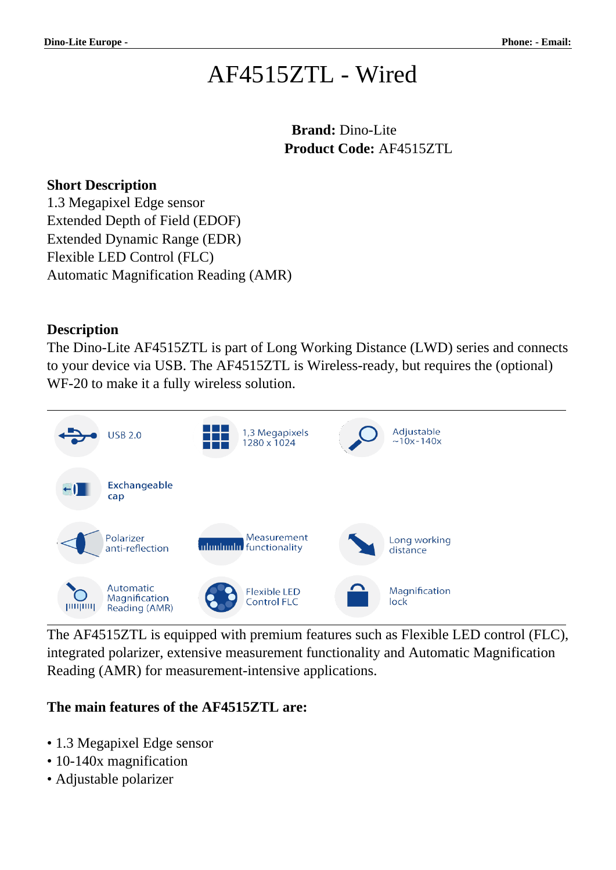# AF4515ZTL - Wired

 **Brand:** Dino-Lite **Product Code:** AF4515ZTL

#### **Short Description**

1.3 Megapixel Edge sensor Extended Depth of Field (EDOF) Extended Dynamic Range (EDR) Flexible LED Control (FLC) Automatic Magnification Reading (AMR)

#### **Description**

The Dino-Lite AF4515ZTL is part of Long Working Distance (LWD) series and connects to your device via USB. The AF4515ZTL is Wireless-ready, but requires the (optional) WF-20 to make it a fully wireless solution.



The AF4515ZTL is equipped with premium features such as Flexible LED control (FLC), integrated polarizer, extensive measurement functionality and Automatic Magnification Reading (AMR) for measurement-intensive applications.

### **The main features of the AF4515ZTL are:**

- 1.3 Megapixel Edge sensor
- 10-140x magnification
- Adjustable polarizer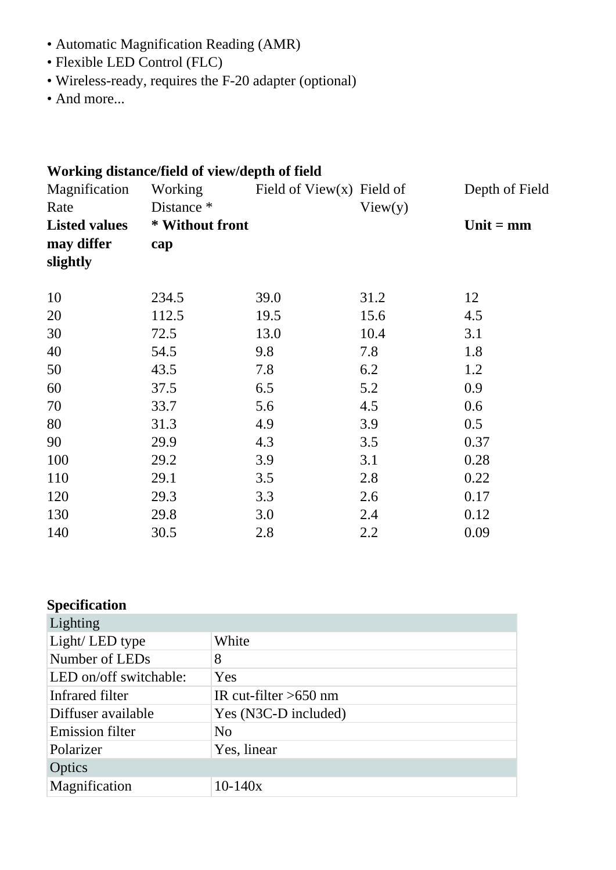- Automatic Magnification Reading (AMR)
- Flexible LED Control (FLC)
- Wireless-ready, requires the F-20 adapter (optional)
- And more...

| Working distance/field of view/depth of field |                 |                              |         |                |  |
|-----------------------------------------------|-----------------|------------------------------|---------|----------------|--|
| Magnification                                 | Working         | Field of View $(x)$ Field of |         | Depth of Field |  |
| Rate                                          | Distance *      |                              | View(y) |                |  |
| <b>Listed values</b>                          | * Without front |                              |         | Unit $=$ mm    |  |
| may differ                                    | cap             |                              |         |                |  |
| slightly                                      |                 |                              |         |                |  |
| 10                                            | 234.5           | 39.0                         | 31.2    | 12             |  |
| 20                                            | 112.5           | 19.5                         | 15.6    | 4.5            |  |
| 30                                            | 72.5            | 13.0                         | 10.4    | 3.1            |  |
| 40                                            | 54.5            | 9.8                          | 7.8     | 1.8            |  |
| 50                                            | 43.5            | 7.8                          | 6.2     | 1.2            |  |
| 60                                            | 37.5            | 6.5                          | 5.2     | 0.9            |  |
| 70                                            | 33.7            | 5.6                          | 4.5     | 0.6            |  |
| 80                                            | 31.3            | 4.9                          | 3.9     | 0.5            |  |
| 90                                            | 29.9            | 4.3                          | 3.5     | 0.37           |  |
| 100                                           | 29.2            | 3.9                          | 3.1     | 0.28           |  |
| 110                                           | 29.1            | 3.5                          | 2.8     | 0.22           |  |
| 120                                           | 29.3            | 3.3                          | 2.6     | 0.17           |  |
| 130                                           | 29.8            | 3.0                          | 2.4     | 0.12           |  |
| 140                                           | 30.5            | 2.8                          | 2.2     | 0.09           |  |

## **Specification**

| Lighting               |                         |  |
|------------------------|-------------------------|--|
| Light/LED type         | White                   |  |
| Number of LEDs         | 8                       |  |
| LED on/off switchable: | Yes                     |  |
| Infrared filter        | IR cut-filter $>650$ nm |  |
| Diffuser available     | Yes (N3C-D included)    |  |
| <b>Emission filter</b> | N <sub>0</sub>          |  |
| Polarizer              | Yes, linear             |  |
| Optics                 |                         |  |
| Magnification          | $10-140x$               |  |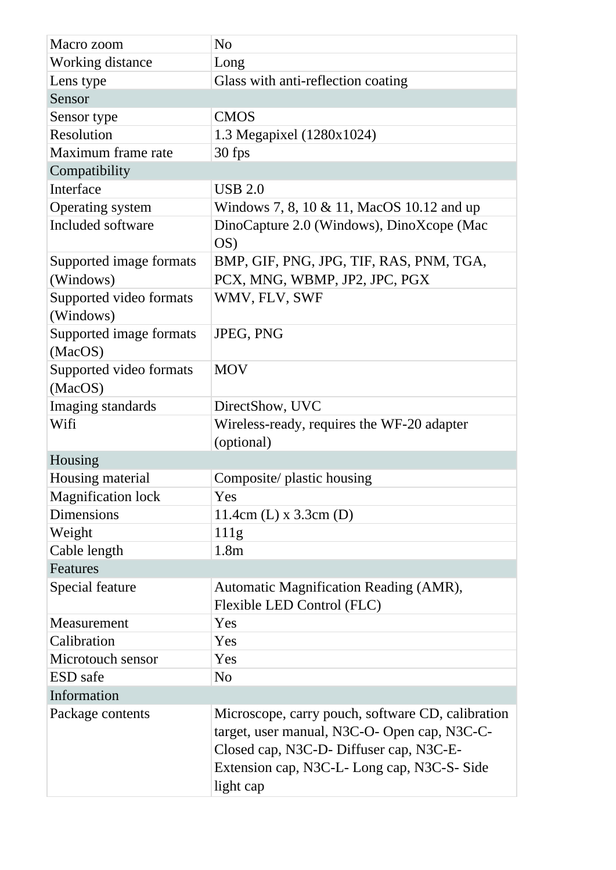| Macro zoom                           | N <sub>o</sub>                                                                                                                                                                                         |  |  |  |
|--------------------------------------|--------------------------------------------------------------------------------------------------------------------------------------------------------------------------------------------------------|--|--|--|
| <b>Working distance</b>              | Long                                                                                                                                                                                                   |  |  |  |
| Lens type                            | Glass with anti-reflection coating                                                                                                                                                                     |  |  |  |
| Sensor                               |                                                                                                                                                                                                        |  |  |  |
| Sensor type                          | <b>CMOS</b>                                                                                                                                                                                            |  |  |  |
| Resolution                           | 1.3 Megapixel (1280x1024)                                                                                                                                                                              |  |  |  |
| Maximum frame rate                   | 30 fps                                                                                                                                                                                                 |  |  |  |
| Compatibility                        |                                                                                                                                                                                                        |  |  |  |
| Interface                            | <b>USB 2.0</b>                                                                                                                                                                                         |  |  |  |
| Operating system                     | Windows 7, 8, 10 & 11, MacOS 10.12 and up                                                                                                                                                              |  |  |  |
| Included software                    | DinoCapture 2.0 (Windows), DinoXcope (Mac)<br>OS                                                                                                                                                       |  |  |  |
| Supported image formats<br>(Windows) | BMP, GIF, PNG, JPG, TIF, RAS, PNM, TGA,<br>PCX, MNG, WBMP, JP2, JPC, PGX                                                                                                                               |  |  |  |
| Supported video formats<br>(Windows) | WMV, FLV, SWF                                                                                                                                                                                          |  |  |  |
| Supported image formats<br>(MacOS)   | <b>JPEG, PNG</b>                                                                                                                                                                                       |  |  |  |
| Supported video formats<br>(MacOS)   | <b>MOV</b>                                                                                                                                                                                             |  |  |  |
| Imaging standards                    | DirectShow, UVC                                                                                                                                                                                        |  |  |  |
| Wifi                                 | Wireless-ready, requires the WF-20 adapter                                                                                                                                                             |  |  |  |
|                                      | (optional)                                                                                                                                                                                             |  |  |  |
| Housing                              |                                                                                                                                                                                                        |  |  |  |
| Housing material                     | Composite/ plastic housing                                                                                                                                                                             |  |  |  |
| <b>Magnification lock</b>            | Yes                                                                                                                                                                                                    |  |  |  |
| Dimensions                           | $11.4cm$ (L) x 3.3cm (D)                                                                                                                                                                               |  |  |  |
| Weight                               | 111g                                                                                                                                                                                                   |  |  |  |
| Cable length                         | 1.8 <sub>m</sub>                                                                                                                                                                                       |  |  |  |
| Features                             |                                                                                                                                                                                                        |  |  |  |
| Special feature                      | Automatic Magnification Reading (AMR),<br>Flexible LED Control (FLC)                                                                                                                                   |  |  |  |
| Measurement                          | Yes                                                                                                                                                                                                    |  |  |  |
| Calibration                          | Yes                                                                                                                                                                                                    |  |  |  |
| Microtouch sensor                    | Yes                                                                                                                                                                                                    |  |  |  |
| <b>ESD</b> safe                      | N <sub>o</sub>                                                                                                                                                                                         |  |  |  |
| Information                          |                                                                                                                                                                                                        |  |  |  |
| Package contents                     | Microscope, carry pouch, software CD, calibration<br>target, user manual, N3C-O- Open cap, N3C-C-<br>Closed cap, N3C-D- Diffuser cap, N3C-E-<br>Extension cap, N3C-L-Long cap, N3C-S-Side<br>light cap |  |  |  |